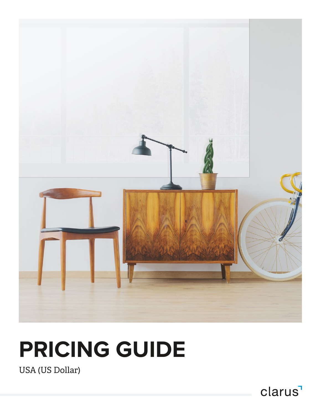

# **PRICING GUIDE**

USA (US Dollar)

clarus<sup>1</sup>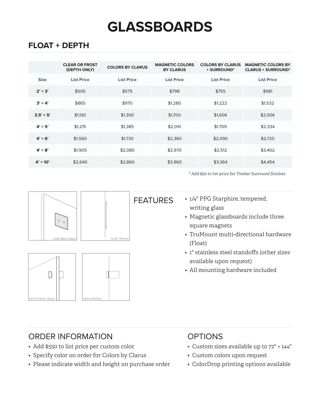## **GLASSBOARDS**

#### **FLOAT + DEPTH**

|                  | <b>CLEAR OR FROST</b><br>(DEPTH ONLY) | <b>COLORS BY CLARUS</b> | <b>MAGNETIC COLORS</b><br><b>BY CLARUS</b> | <b>COLORS BY CLARUS</b><br>+ SURROUND* | <b>MAGNETIC COLORS BY</b><br><b>CLARUS + SURROUND*</b> |
|------------------|---------------------------------------|-------------------------|--------------------------------------------|----------------------------------------|--------------------------------------------------------|
| <b>Size</b>      | <b>List Price</b>                     | <b>List Price</b>       | <b>List Price</b>                          | <b>List Price</b>                      | <b>List Price</b>                                      |
| $2' \times 3'$   | \$505                                 | \$575                   | \$798                                      | \$755                                  | \$981                                                  |
| $3' \times 4'$   | \$865                                 | \$970                   | \$1,280                                    | \$1,222                                | \$1,532                                                |
| $3.5' \times 5'$ | \$1.130                               | \$1,300                 | \$1,700                                    | \$1,606                                | \$2,006                                                |
| $4' \times 5'$   | \$1,215                               | \$1,385                 | \$2,010                                    | \$1,709                                | \$2,334                                                |
| $4' \times 6'$   | \$1,560                               | \$1,730                 | \$2,360                                    | \$2,090                                | \$2,720                                                |
| $4' \times 8'$   | \$1,905                               | \$2,080                 | \$2,970                                    | \$2,512                                | \$3,402                                                |
| $4' \times 10'$  | \$2,640                               | \$2,860                 | \$3,960                                    | \$3,364                                | \$4,454                                                |

*\* Add \$50 to list price for Timber Surround finishes* 



#### ORDER INFORMATION **OPTIONS**

- Add \$550 to list price per custom color
- Specify color on order for Colors by Clarus
- Please indicate width and height on purchase order

- Custom sizes available up to 72" × 144"
- Custom colors upon request
- ColorDrop printing options available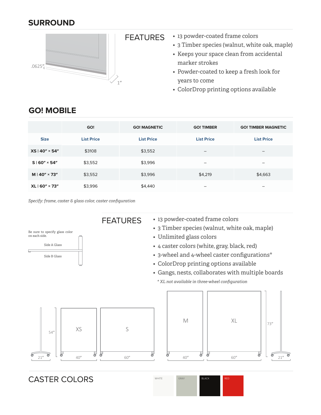#### **SURROUND**



- 13 powder-coated frame colors
	- 3 Timber species (walnut, white oak, maple)
	- Keeps your space clean from accidental marker strokes
	- Powder-coated to keep a fresh look for years to come
	- ColorDrop printing options available

|                        | GO!               | <b>GO! MAGNETIC</b> | <b>GO! TIMBER</b>        | <b>GO! TIMBER MAGNETIC</b> |
|------------------------|-------------------|---------------------|--------------------------|----------------------------|
| <b>Size</b>            | <b>List Price</b> | <b>List Price</b>   | <b>List Price</b>        | <b>List Price</b>          |
| $XS   40" \times 54"$  | \$3108            | \$3,552             | $\overline{\phantom{m}}$ | $\overline{\phantom{m}}$   |
| $S$   60" × 54"        | \$3,552           | \$3,996             |                          | $\overline{\phantom{m}}$   |
| $M$   40" $\times$ 73" | \$3,552           | \$3,996             | \$4,219                  | \$4,663                    |
| XL   60" × 73"         | \$3,996           | \$4,440             | $\overline{\phantom{m}}$ | $\overline{\phantom{m}}$   |

#### **GO! MOBILE**

*Specify: frame, caster & glass color, caster configuration*



CASTER COLORS WHITE GRAY BLACK

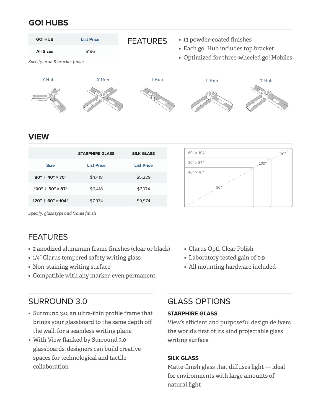#### **GO! HUBS**



### **STARPHIRE GLASS SILK GLASS Size List Price List Price 80″ | 40″ × 70″ \$4,418 \$5,229 100″ | 50″ × 87″ \$6.418 \$7.974 120″ | 60″ × 104″ \$7.974 \$9.974** \$9.974



*Specify: glass type and frame finish*

#### FEATURES

- 2 anodized aluminum frame finishes (clear or black)
- 1/4" Clarus tempered safety writing glass
- Non-staining writing surface
- Compatible with any marker, even permanent

#### SURROUND 3.0

- Surround 3.0, an ultra-thin profile frame that brings your glassboard to the same depth off the wall, for a seamless writing plane
- With View flanked by Surround 3.0 glassboards, designers can build creative spaces for technological and tactile collaboration
- Clarus Opti-Clear Polish
- Laboratory tested gain of 0.9
- All mounting hardware included

#### GLASS OPTIONS

#### **STARPHIRE GLASS**

View's efficient and purposeful design delivers the world's first of its kind projectable glass writing surface

#### **SILK GLASS**

Matte-finish glass that diffuses light — ideal for environments with large amounts of natural light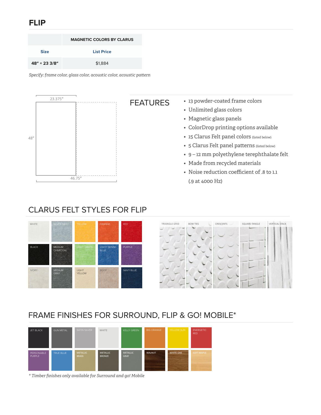#### **FLIP**

|               | <b>MAGNETIC COLORS BY CLARUS</b> |
|---------------|----------------------------------|
| <b>Size</b>   | <b>List Price</b>                |
| 48" × 23 3/8" | \$1,884                          |

*Specify: frame color, glass color, acoustic color, acoustic pattern*



#### CLARUS FELT STYLES FOR FLIP



#### FRAME FINISHES FOR SURROUND, FLIP & GO! MOBILE\*

| <b>JET BLACK</b>            | <b>GUN METAL</b> | SATIN SILVER                    | WHITE                            | <b>KELLY GREEN</b>             | <b>BIG ORANGE</b>                         | YELLOW SUN       | <b>ENERGETIC</b><br><b>RED</b> |
|-----------------------------|------------------|---------------------------------|----------------------------------|--------------------------------|-------------------------------------------|------------------|--------------------------------|
| PERSONABLE<br><b>PURPLE</b> | <b>TRUE BLUE</b> | <b>METALLIC</b><br><b>BRASS</b> | <b>METALLIC</b><br><b>BRONZE</b> | <b>METALLIC</b><br><b>GRAY</b> | <b>WALNUT</b><br><b>Contract Contract</b> | <b>WHITE OAK</b> | <b>SOFT MAPLE</b>              |

*\* Timber finishes only available for Surround and go! Mobile*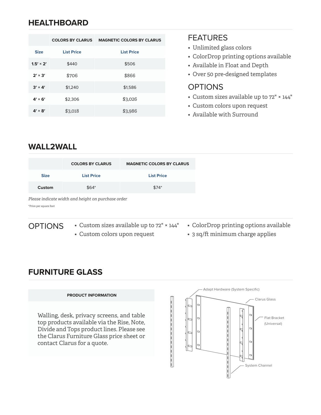#### **HEALTHBOARD**

|                  | <b>COLORS BY CLARUS</b> | <b>MAGNETIC COLORS BY CLARUS</b> |
|------------------|-------------------------|----------------------------------|
| <b>Size</b>      | <b>List Price</b>       | <b>List Price</b>                |
| $1.5' \times 2'$ | \$440                   | \$506                            |
| $2' \times 3'$   | \$706                   | \$866                            |
| $3' \times 4'$   | \$1.240                 | \$1,586                          |
| $4' \times 6'$   | \$2,306                 | \$3,026                          |
| $4' \times 8'$   | \$3,018                 | \$3,986                          |

#### FEATURES

- Unlimited glass colors
- ColorDrop printing options available
- Available in Float and Depth
- Over 50 pre-designed templates

#### OPTIONS

- Custom sizes available up to 72" × 144"
- Custom colors upon request
- Available with Surround

#### **WALL2WALL**

|             | <b>COLORS BY CLARUS</b> | <b>MAGNETIC COLORS BY CLARUS</b> |
|-------------|-------------------------|----------------------------------|
| <b>Size</b> | <b>List Price</b>       | <b>List Price</b>                |
| Custom      | $$64*$                  | $$74*$                           |

#### *Please indicate width and height on purchase order*

\*Price per square foot

**OPTIONS** 

- Custom sizes available up to 72" × 144"
- Custom colors upon request
- ColorDrop printing options available
- 3 sq/ft minimum charge applies

#### **FURNITURE GLASS**

#### **PRODUCT INFORMATION**

Walling, desk, privacy screens, and table top products available via the Rise, Note, Divide and Tops product lines. Please see the Clarus Furniture Glass price sheet or contact Clarus for a quote.